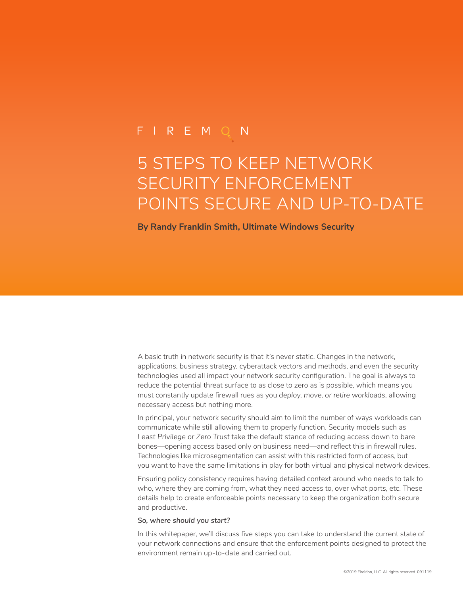# FIREMQN

# 5 STEPS TO KEEP NETWORK SECURITY ENFORCEMENT POINTS SECURE AND UP-TO-DATE

**By Randy Franklin Smith, Ultimate Windows Security**

A basic truth in network security is that it's never static. Changes in the network, applications, business strategy, cyberattack vectors and methods, and even the security technologies used all impact your network security configuration. The goal is always to reduce the potential threat surface to as close to zero as is possible, which means you must constantly update firewall rues as you *deploy, move, or retire workloads*, allowing necessary access but nothing more.

In principal, your network security should aim to limit the number of ways workloads can communicate while still allowing them to properly function. Security models such as *Least Privilege or Zero Trust* take the default stance of reducing access down to bare bones—opening access based only on business need—and reflect this in firewall rules. Technologies like microsegmentation can assist with this restricted form of access, but you want to have the same limitations in play for both virtual and physical network devices.

Ensuring policy consistency requires having detailed context around who needs to talk to who, where they are coming from, what they need access to, over what ports, etc. These details help to create enforceable points necessary to keep the organization both secure and productive.

#### *So, where should you start?*

In this whitepaper, we'll discuss five steps you can take to understand the current state of your network connections and ensure that the enforcement points designed to protect the environment remain up-to-date and carried out.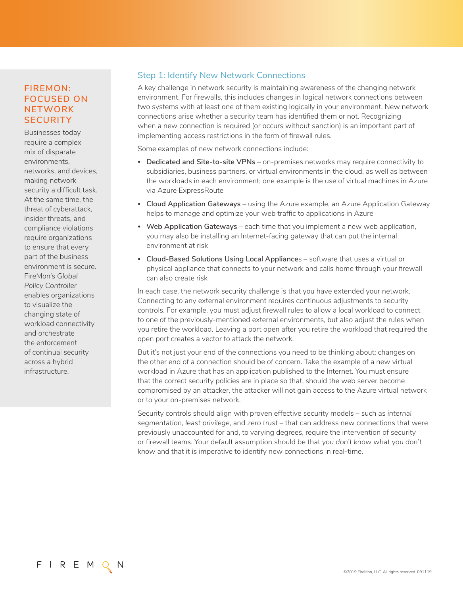# **FIREMON: FOCUSED ON NETWORK SECURITY**

Businesses today require a complex mix of disparate environments, networks, and devices, making network security a difficult task. At the same time, the threat of cyberattack, insider threats, and compliance violations require organizations to ensure that every part of the business environment is secure. FireMon's *Global Policy Controller* enables organizations to visualize the changing state of workload connectivity and orchestrate the enforcement of continual security across a hybrid infrastructure.

## Step 1: Identify New Network Connections

A key challenge in network security is maintaining awareness of the changing network environment. For firewalls, this includes changes in logical network connections between two systems with at least one of them existing logically in your environment. New network connections arise whether a security team has identified them or not. Recognizing when a new connection is required (or occurs without sanction) is an important part of implementing access restrictions in the form of firewall rules.

Some examples of new network connections include:

- **• Dedicated and Site-to-site VPNs** on-premises networks may require connectivity to subsidiaries, business partners, or virtual environments in the cloud, as well as between the workloads in each environment; one example is the use of virtual machines in Azure via Azure ExpressRoute
- **• Cloud Application Gateways** using the Azure example, an Azure Application Gateway helps to manage and optimize your web traffic to applications in Azure
- **• Web Application Gateways** each time that you implement a new web application, you may also be installing an Internet-facing gateway that can put the internal environment at risk
- **• Cloud-Based Solutions Using Local Appliance**s software that uses a virtual or physical appliance that connects to your network and calls home through your firewall can also create risk

In each case, the network security challenge is that you have extended your network. Connecting to any external environment requires continuous adjustments to security controls. For example, you must adjust firewall rules to allow a local workload to connect to one of the previously-mentioned external environments, but also adjust the rules when you retire the workload. Leaving a port open after you retire the workload that required the open port creates a vector to attack the network.

But it's not just your end of the connections you need to be thinking about; changes on the other end of a connection should be of concern. Take the example of a new virtual workload in Azure that has an application published to the Internet. You must ensure that the correct security policies are in place so that, should the web server become compromised by an attacker, the attacker will not gain access to the Azure virtual network or to your on-premises network.

Security controls should align with proven effective security models – such as *internal segmentation, least privilege,* and *zero trust* – that can address new connections that were previously unaccounted for and, to varying degrees, require the intervention of security or firewall teams. Your default assumption should be that *you don't know what you don't know* and that it is imperative to identify new connections in real-time.

F I R E M Q N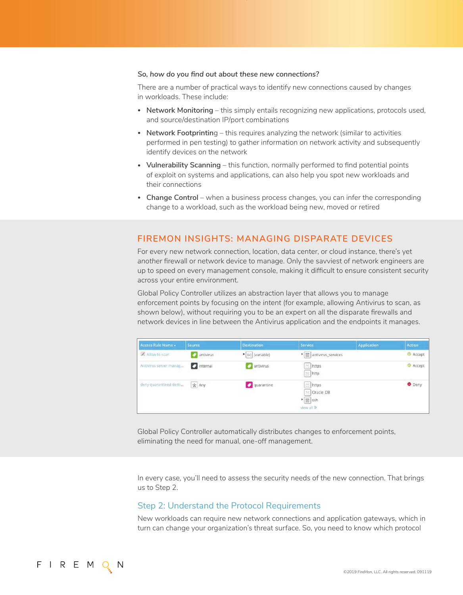#### *So, how do you find out about these new connections?*

There are a number of practical ways to identify new connections caused by changes in workloads. These include:

- **• Network Monitoring** this simply entails recognizing new applications, protocols used, and source/destination IP/port combinations
- **Network Footprintin**g this requires analyzing the network (similar to activities performed in pen testing) to gather information on network activity and subsequently identify devices on the network
- **• Vulnerability Scanning** this function, normally performed to find potential points of exploit on systems and applications, can also help you spot new workloads and their connections
- **• Change Control** when a business process changes, you can infer the corresponding change to a workload, such as the workload being new, moved or retired

#### **FIREMON INSIGHTS: MANAGING DISPARATE DEVICES**

For every new network connection, location, data center, or cloud instance, there's yet *another* firewall or network device to manage. Only the savviest of network engineers are up to speed on every management console, making it difficult to ensure consistent security across your entire environment.

Global Policy Controller utilizes an abstraction layer that allows you to manage enforcement points by focusing on the *intent* (for example, allowing Antivirus to scan, as shown below), without requiring you to be an expert on all the disparate firewalls and network devices in line between the Antivirus application and the endpoints it manages.

| Access Rule Name A      | <b>Source</b>      | <b>Destination</b>       | <b>Service</b>                                                    | <b>Application</b> | <b>Action</b>   |
|-------------------------|--------------------|--------------------------|-------------------------------------------------------------------|--------------------|-----------------|
| Allow to scan           | <b>D</b> antivirus | $\bullet$ (x) (variable) | • 图 antivirus_services                                            |                    | <b>C</b> Accept |
| Antivirus server manag  | <b>2</b> internal  | antivirus                | <b>E</b> https<br>the http:                                       |                    | Accept          |
| deny quarantined desti, | * Any              | quarantine               | $\equiv$ https<br>to Oracle_DB<br>$\frac{1}{2}$ ssh<br>view all » |                    | O Deny          |

Global Policy Controller automatically distributes changes to enforcement points, eliminating the need for manual, one-off management.

In every case, you'll need to assess the security needs of the new connection. That brings us to Step 2.

#### Step 2: Understand the Protocol Requirements

New workloads can require new network connections and application gateways, which in turn can change your organization's threat surface. So, you need to know which protocol

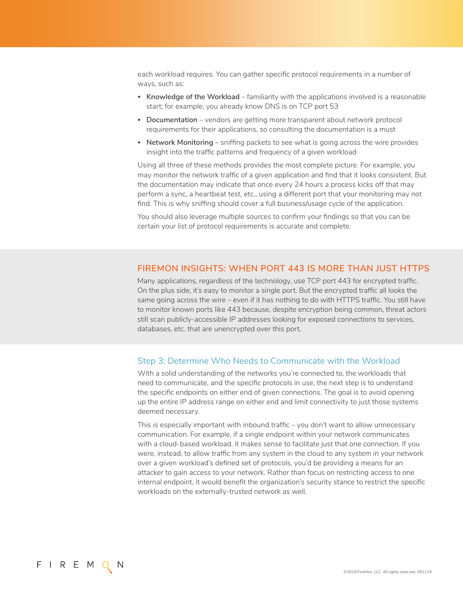each workload requires. You can gather specific protocol requirements in a number of ways, such as:

- **• Knowledge of the Workload** familiarity with the applications involved is a reasonable start; for example, you already know DNS is on TCP port 53
- **• Documentation** vendors are getting more transparent about network protocol requirements for their applications, so consulting the documentation is a must
- **• Network Monitoring** sniffing packets to see what is going across the wire provides insight into the traffic patterns and frequency of a given workload

Using all three of these methods provides the most complete picture. For example, you may monitor the network traffic of a given application and find that it looks consistent. But the documentation may indicate that once every 24 hours a process kicks off that may perform a sync, a heartbeat test, etc., using a different port that your monitoring may not find. This is why sniffing should cover a full business/usage cycle of the application.

You should also leverage multiple sources to confirm your findings so that you can be certain your list of protocol requirements is accurate and complete.

#### **FIREMON INSIGHTS: WHEN PORT 443 IS MORE THAN JUST HTTPS**

Many applications, regardless of the technology, use TCP port 443 for encrypted traffic. On the plus side, it's easy to monitor a single port. But the encrypted traffic all looks the same going across the wire – even if it has nothing to do with HTTPS traffic. You still have to monitor known ports like 443 because, despite encryption being common, threat actors still scan publicly-accessible IP addresses looking for exposed connections to services, databases, etc. that are unencrypted over this port.

#### Step 3: Determine Who Needs to Communicate with the Workload

With a solid understanding of the networks you're connected to, the workloads that need to communicate, and the specific protocols in use, the next step is to understand the specific endpoints on either end of given connections. The goal is to avoid opening up the entire IP address range on either end and limit connectivity to just those systems deemed necessary.

This is especially important with inbound traffic – you don't want to allow unnecessary communication. For example, if a single endpoint within your network communicates with a cloud-based workload, it makes sense to facilitate just that one connection. If you were, instead, to allow traffic from any system in the cloud to any system in your network over a given workload's defined set of protocols, you'd be providing a means for an attacker to gain access to your network. Rather than focus on restricting access to one *internal* endpoint, it would benefit the organization's security stance to restrict the specific workloads on the externally-trusted network as well.

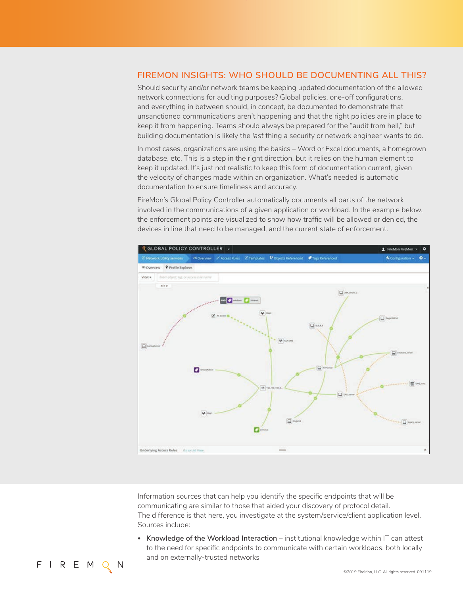#### **FIREMON INSIGHTS: WHO SHOULD BE DOCUMENTING ALL THIS?**

Should security and/or network teams be keeping updated documentation of the allowed network connections for auditing purposes? Global policies, one-off configurations, and everything in between should, in concept, be documented to demonstrate that unsanctioned communications aren't happening and that the right policies are in place to keep it from happening. Teams should always be prepared for the "audit from hell," but building documentation is likely the *last* thing a security or network engineer wants to do.

In most cases, organizations are using the basics – Word or Excel documents, a homegrown database, etc. This is a step in the right direction, but it relies on the human element to keep it updated. It's just not realistic to keep this form of documentation current, given the velocity of changes made within an organization. What's needed is automatic documentation to ensure timeliness and accuracy.

FireMon's Global Policy Controller automatically documents all parts of the network involved in the communications of a given application or workload. In the example below, the enforcement points are visualized to show how traffic will be allowed or denied, the devices in line that need to be managed, and the current state of enforcement.



Information sources that can help you identify the specific endpoints that will be communicating are similar to those that aided your discovery of protocol detail. The difference is that here, you investigate at the system/service/client application level. Sources include:

**• Knowledge of the Workload Interaction** – institutional knowledge within IT can attest to the need for specific endpoints to communicate with certain workloads, both locally and on externally-trusted networks

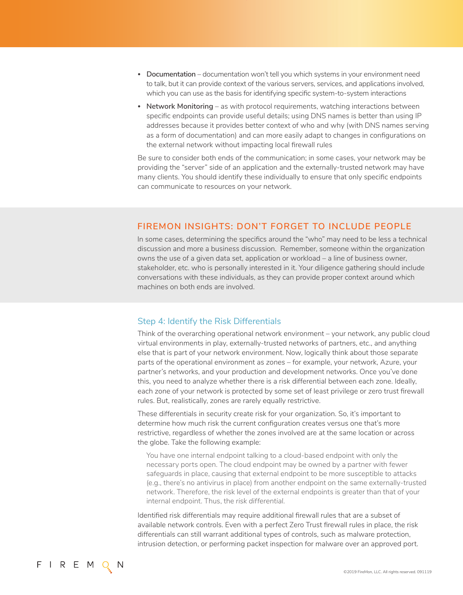- **• Documentation** documentation won't tell you which systems in your environment need to talk, but it can provide context of the various servers, services, and applications involved, which you can use as the basis for identifying specific system-to-system interactions
- **• Network Monitoring** as with protocol requirements, watching interactions between specific endpoints can provide useful details; using DNS names is better than using IP addresses because it provides better context of who and why (with DNS names serving as a form of documentation) and can more easily adapt to changes in configurations on the external network without impacting local firewall rules

Be sure to consider both ends of the communication; in some cases, your network may be providing the "server" side of an application and the externally-trusted network may have many clients. You should identify these individually to ensure that only specific endpoints can communicate to resources on your network.

## **FIREMON INSIGHTS: DON'T FORGET TO INCLUDE PEOPLE**

In some cases, determining the specifics around the "who" may need to be less a technical discussion and more a business discussion. Remember, someone within the organization owns the use of a given data set, application or workload – a line of business owner, stakeholder, etc. who is personally interested in it. Your diligence gathering should include conversations with these individuals, as they can provide proper context around which machines on both ends are involved.

#### Step 4: Identify the Risk Differentials

Think of the overarching operational network environment – your network, any public cloud virtual environments in play, externally-trusted networks of partners, etc., and anything else that is part of your network environment. Now, logically think about those separate parts of the operational environment as *zones* – for example, your network, Azure, your partner's networks, and your production and development networks. Once you've done this, you need to analyze whether there is a risk differential between each zone. Ideally, each zone of your network is protected by some set of least privilege or zero trust firewall rules. But, realistically, zones are rarely equally restrictive.

These differentials in security create risk for your organization. So, it's important to determine how much risk the current configuration creates versus one that's more restrictive, regardless of whether the zones involved are at the same location or across the globe. Take the following example:

You have one internal endpoint talking to a cloud-based endpoint with only the necessary ports open. The cloud endpoint may be owned by a partner with fewer safeguards in place, causing that external endpoint to be more susceptible to attacks (e.g., there's no antivirus in place) from another endpoint on the same externally-trusted network. Therefore, the risk level of the external endpoints is greater than that of your internal endpoint. Thus, the *risk differential.*

Identified risk differentials may require additional firewall rules that are a subset of available network controls. Even with a perfect Zero Trust firewall rules in place, the risk differentials can still warrant additional types of controls, such as malware protection, intrusion detection, or performing packet inspection for malware over an approved port.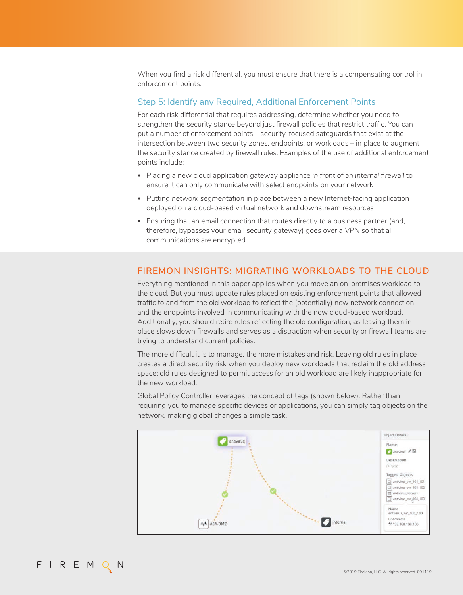When you find a risk differential, you must ensure that there is a compensating control in enforcement points.

#### Step 5: Identify any Required, Additional Enforcement Points

For each risk differential that requires addressing, determine whether you need to strengthen the security stance beyond just firewall policies that restrict traffic. You can put a number of enforcement points – security-focused safeguards that exist at the intersection between two security zones, endpoints, or workloads – in place to augment the security stance created by firewall rules. Examples of the use of additional enforcement points include:

- **•** Placing a new cloud application gateway appliance *in front of an internal firewall* to ensure it can only communicate with select endpoints on your network
- **•** Putting *network segmentation* in place between a new Internet-facing application deployed on a cloud-based virtual network and downstream resources
- **•** Ensuring that an email connection that routes directly to a business partner (and, therefore, bypasses your email security gateway) *goes over a VPN* so that all communications are encrypted

#### **FIREMON INSIGHTS: MIGRATING WORKLOADS TO THE CLOUD**

Everything mentioned in this paper applies when you move an on-premises workload to the cloud. But you must update rules placed on existing enforcement points that allowed traffic to and from the old workload to reflect the (potentially) new network connection and the endpoints involved in communicating with the now cloud-based workload. Additionally, you should retire rules reflecting the old configuration, as leaving them in place slows down firewalls and serves as a distraction when security or firewall teams are trying to understand current policies.

The more difficult it is to manage, the more mistakes and risk. Leaving old rules in place creates a direct security risk when you deploy new workloads that reclaim the old address space; old rules designed to permit access for an old workload are likely inappropriate for the new workload.

Global Policy Controller leverages the concept of tags (shown below). Rather than requiring you to manage specific devices or applications, you can simply tag objects on the network, making global changes a simple task.